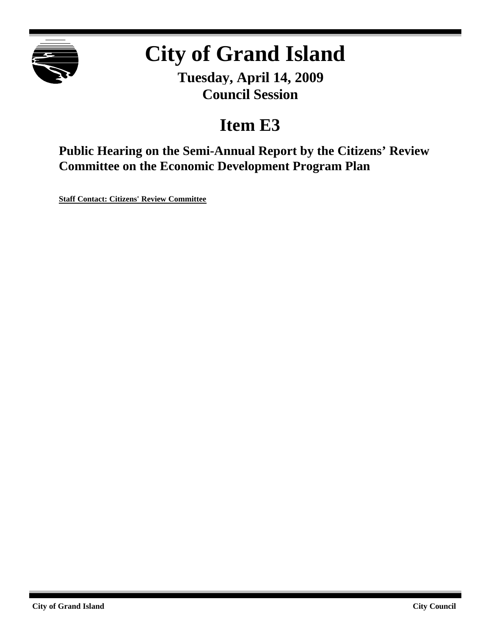

# **City of Grand Island**

**Tuesday, April 14, 2009 Council Session**

## **Item E3**

**Public Hearing on the Semi-Annual Report by the Citizens' Review Committee on the Economic Development Program Plan**

**Staff Contact: Citizens' Review Committee**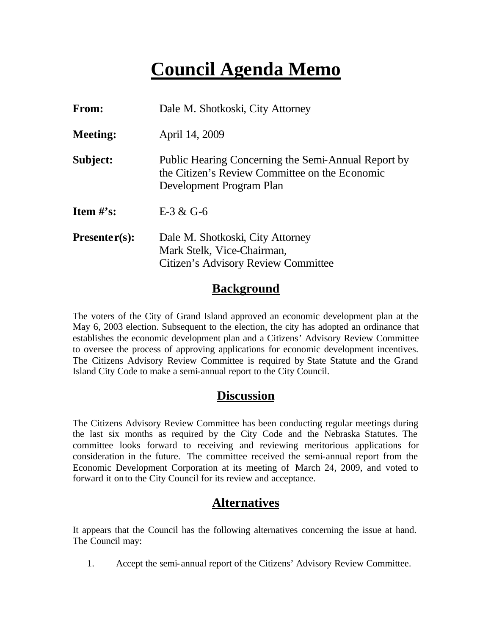### **Council Agenda Memo**

| From:           | Dale M. Shotkoski, City Attorney                                                                                                  |
|-----------------|-----------------------------------------------------------------------------------------------------------------------------------|
| <b>Meeting:</b> | April 14, 2009                                                                                                                    |
| Subject:        | Public Hearing Concerning the Semi-Annual Report by<br>the Citizen's Review Committee on the Economic<br>Development Program Plan |
| Item $#$ 's:    | $E-3 & G-6$                                                                                                                       |
| $Presenter(s):$ | Dale M. Shotkoski, City Attorney<br>Mark Stelk, Vice-Chairman,<br>Citizen's Advisory Review Committee                             |

#### **Background**

The voters of the City of Grand Island approved an economic development plan at the May 6, 2003 election. Subsequent to the election, the city has adopted an ordinance that establishes the economic development plan and a Citizens' Advisory Review Committee to oversee the process of approving applications for economic development incentives. The Citizens Advisory Review Committee is required by State Statute and the Grand Island City Code to make a semi-annual report to the City Council.

#### **Discussion**

The Citizens Advisory Review Committee has been conducting regular meetings during the last six months as required by the City Code and the Nebraska Statutes. The committee looks forward to receiving and reviewing meritorious applications for consideration in the future. The committee received the semi-annual report from the Economic Development Corporation at its meeting of March 24, 2009, and voted to forward it on to the City Council for its review and acceptance.

#### **Alternatives**

It appears that the Council has the following alternatives concerning the issue at hand. The Council may:

1. Accept the semi-annual report of the Citizens' Advisory Review Committee.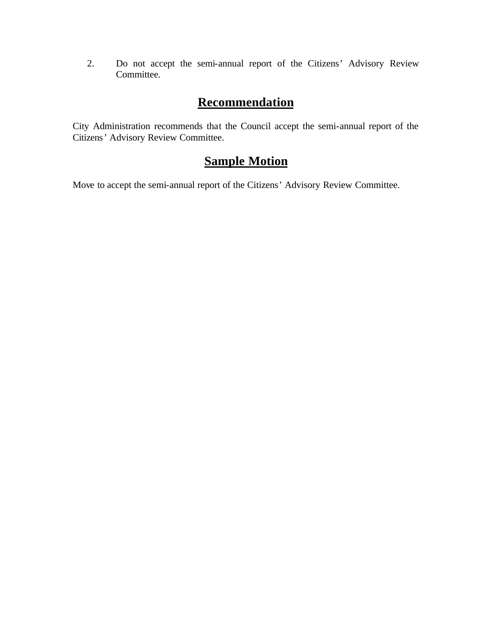2. Do not accept the semi-annual report of the Citizens' Advisory Review Committee.

#### **Recommendation**

City Administration recommends that the Council accept the semi-annual report of the Citizens' Advisory Review Committee.

#### **Sample Motion**

Move to accept the semi-annual report of the Citizens' Advisory Review Committee.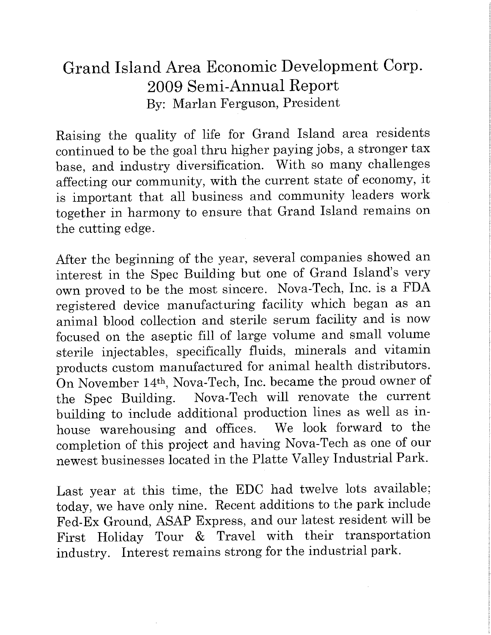### Grand Island Area Economic Development Corp. 2009 Semi-Annual Report By: Marlan Ferguson, President

Raising the quality of life for Grand Island area residents continued to be the goal thru higher paying jobs, a stronger tax base, and industry diversification. With so many challenges affecting our community, with the current state of economy, it is important that all business and community leaders work together in harmony to ensure that Grand Island remains on the cutting edge.

After the beginning of the year, several companies showed an interest in the Spec Building but one of Grand Island's very own proved to be the most sincere. Nova-Tech, Inc. is a FDA registered device manufacturing facility which began as an animal blood collection and sterile serum facility and is now focused on the aseptic fill of large volume and small volume sterile injectables, specifically fluids, minerals and vitamin products custom manufactured for animal health distributors. On November 14th, Nova-Tech, Inc. became the proud owner of the Spec Building. Nova-Tech will renovate the current building to include additional production lines as well as inhouse warehousing and offices. We look forward to the completion of this project and having Nova-Tech as one of our newest businesses located in the Platte Valley Industrial Park.

Last year at this time, the EDC had twelve lots available; today, we have only nine. Recent additions to the park include Fed-Ex Ground, ASAP Express, and our latest resident will be First Holiday Tour & Travel with their transportation industry. Interest remains strong for the industrial park.